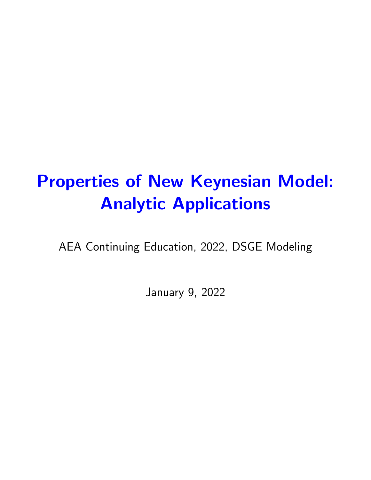# Properties of New Keynesian Model: Analytic Applications

AEA Continuing Education, 2022, DSGE Modeling

January 9, 2022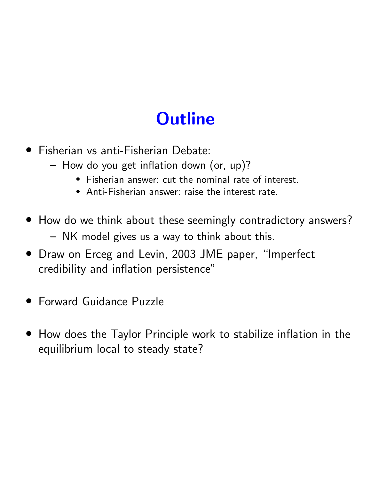# **Outline**

- *•* Fisherian vs anti-Fisherian Debate:
	- How do you get inflation down (or, up)?
		- *•* Fisherian answer: cut the nominal rate of interest.
		- *•* Anti-Fisherian answer: raise the interest rate.
- *•* How do we think about these seemingly contradictory answers? – NK model gives us a way to think about this.
- *•* Draw on Erceg and Levin, 2003 JME paper, "Imperfect credibility and inflation persistence"
- *•* Forward Guidance Puzzle
- *•* How does the Taylor Principle work to stabilize inflation in the equilibrium local to steady state?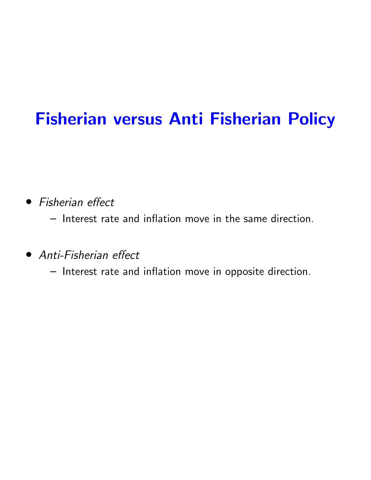## Fisherian versus Anti Fisherian Policy

• Fisherian effect

– Interest rate and inflation move in the same direction.

• *Anti-Fisherian effect* 

– Interest rate and inflation move in opposite direction.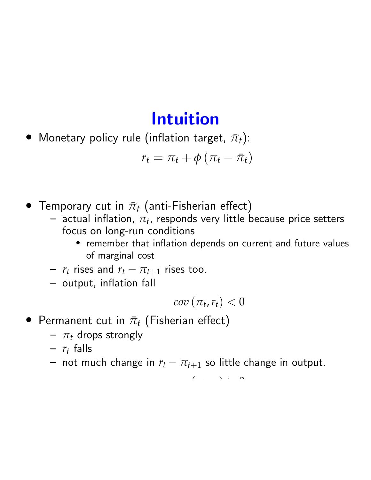#### Intuition

• Monetary policy rule (inflation target,  $\bar{\pi}_t$ ):

$$
r_t = \pi_t + \phi \left( \pi_t - \bar{\pi}_t \right)
$$

- Temporary cut in  $\bar{\pi}_t$  (anti-Fisherian effect) actual inflation,  $\pi_t$ , responds very little because price setters
	- focus on long-run conditions
		- *•* remember that inflation depends on current and future values of marginal cost
	- $-r_t$  rises and  $r_t \pi_{t+1}$  rises too.
	- output, inflation fall

$$
cov\left(\pi_t,r_t\right)<0
$$

- Permanent cut in  $\bar{\pi}_t$  (Fisherian effect)
	- $\pi$ <sup>*t*</sup> drops strongly
	- $r_t$  falls
	- $-$  not much change in  $r_t \pi_{t+1}$  so little change in output.

*cov* (*pt*,*rt*) *>* 0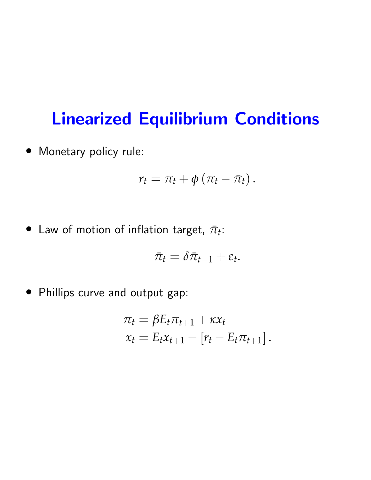### Linearized Equilibrium Conditions

*•* Monetary policy rule:

$$
r_t = \pi_t + \phi \left( \pi_t - \bar{\pi}_t \right).
$$

• Law of motion of inflation target,  $\bar{\pi}_t$ :

$$
\bar{\pi}_t = \delta \bar{\pi}_{t-1} + \varepsilon_t.
$$

*•* Phillips curve and output gap:

$$
\pi_t = \beta E_t \pi_{t+1} + \kappa x_t
$$
  

$$
x_t = E_t x_{t+1} - [r_t - E_t \pi_{t+1}].
$$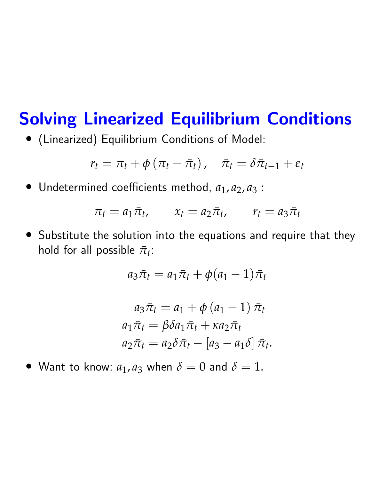### Solving Linearized Equilibrium Conditions

*•* (Linearized) Equilibrium Conditions of Model:

$$
r_t = \pi_t + \phi(\pi_t - \bar{\pi}_t), \quad \bar{\pi}_t = \delta \bar{\pi}_{t-1} + \varepsilon_t
$$

• Undetermined coefficients method,  $a_1$ ,  $a_2$ ,  $a_3$ :

$$
\pi_t = a_1 \bar{\pi}_t, \qquad x_t = a_2 \bar{\pi}_t, \qquad r_t = a_3 \bar{\pi}_t
$$

*•* Substitute the solution into the equations and require that they hold for all possible  $\bar{\pi}_t$ :

$$
a_3\bar{\pi}_t = a_1\bar{\pi}_t + \phi(a_1 - 1)\bar{\pi}_t
$$

$$
a_3\bar{\pi}_t = a_1 + \phi (a_1 - 1) \bar{\pi}_t
$$
  
\n
$$
a_1\bar{\pi}_t = \beta \delta a_1 \bar{\pi}_t + \kappa a_2 \bar{\pi}_t
$$
  
\n
$$
a_2\bar{\pi}_t = a_2 \delta \bar{\pi}_t - [a_3 - a_1 \delta] \bar{\pi}_t.
$$

• Want to know:  $a_1$ ,  $a_3$  when  $\delta = 0$  and  $\delta = 1$ .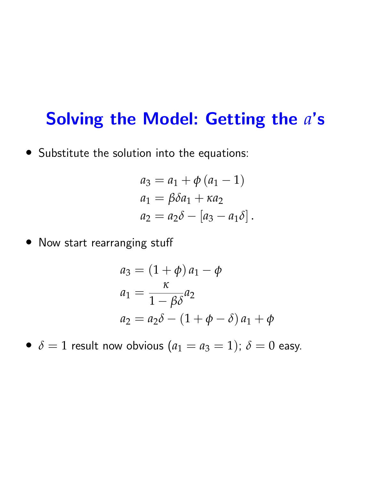#### Solving the Model: Getting the *a*'s

*•* Substitute the solution into the equations:

$$
a_3 = a_1 + \phi (a_1 - 1)
$$
  
\n
$$
a_1 = \beta \delta a_1 + \kappa a_2
$$
  
\n
$$
a_2 = a_2 \delta - [a_3 - a_1 \delta].
$$

• Now start rearranging stuff

$$
a_3 = (1 + \phi) a_1 - \phi
$$
  
\n
$$
a_1 = \frac{\kappa}{1 - \beta \delta} a_2
$$
  
\n
$$
a_2 = a_2 \delta - (1 + \phi - \delta) a_1 + \phi
$$

•  $\delta = 1$  result now obvious  $(a_1 = a_3 = 1)$ ;  $\delta = 0$  easy.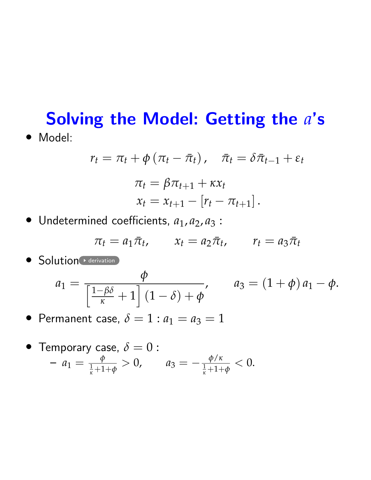#### Solving the Model: Getting the *a*'s *•* Model:

$$
r_t = \pi_t + \phi(\pi_t - \bar{\pi}_t), \quad \bar{\pi}_t = \delta \bar{\pi}_{t-1} + \varepsilon_t
$$

$$
\pi_t = \beta \pi_{t+1} + \kappa x_t
$$

$$
x_t = x_{t+1} - [r_t - \pi_{t+1}].
$$

• Undetermined coefficients,  $a_1$ ,  $a_2$ ,  $a_3$ :

$$
\pi_t = a_1 \bar{\pi}_t, \qquad x_t = a_2 \bar{\pi}_t, \qquad r_t = a_3 \bar{\pi}_t
$$

• Solution derivation

$$
a_1 = \frac{\phi}{\left[\frac{1-\beta\delta}{\kappa}+1\right](1-\delta)+\phi'}, \qquad a_3 = (1+\phi)a_1-\phi.
$$

• Permanent case,  $\delta = 1 : a_1 = a_3 = 1$ 

• Temporary case, 
$$
\delta = 0
$$
:  
\n-  $a_1 = \frac{\phi}{\frac{1}{\kappa} + 1 + \phi} > 0$ ,  $a_3 = -\frac{\phi/\kappa}{\frac{1}{\kappa} + 1 + \phi} < 0$ .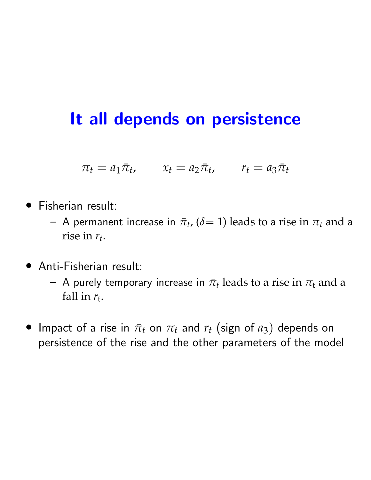#### It all depends on persistence

 $\pi_t = a_1 \bar{\pi}_t$ ,  $x_t = a_2 \bar{\pi}_t$ ,  $r_t = a_3 \bar{\pi}_t$ 

- *•* Fisherian result:
	- $-$  A permanent increase in  $\bar{\pi}_t$ , ( $\delta$  = 1) leads to a rise in  $\pi_t$  and a rise in *rt*.
- *•* Anti-Fisherian result:
	- $-$  A purely temporary increase in  $\bar{\pi}_t$  leads to a rise in  $\pi_t$  and a fall in  $r_t$ .
- Impact of a rise in  $\bar{\pi}_t$  on  $\pi_t$  and  $r_t$  (sign of  $a_3$ ) depends on persistence of the rise and the other parameters of the model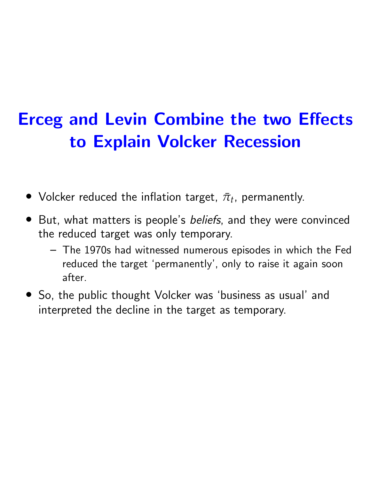# Erceg and Levin Combine the two Effects to Explain Volcker Recession

- Volcker reduced the inflation target,  $\bar{\pi}_t$ , permanently.
- *•* But, what matters is people's *beliefs*, and they were convinced the reduced target was only temporary.
	- The 1970s had witnessed numerous episodes in which the Fed reduced the target 'permanently', only to raise it again soon after.
- *•* So, the public thought Volcker was 'business as usual' and interpreted the decline in the target as temporary.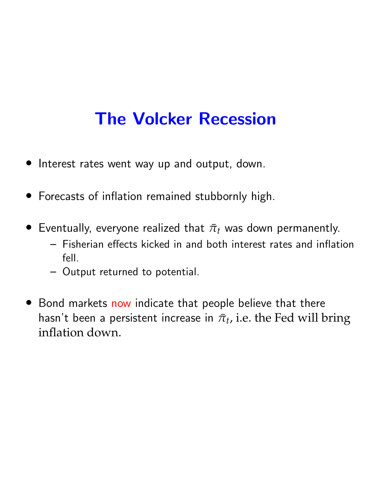## The Volcker Recession

- *•* Interest rates went way up and output, down.
- *•* Forecasts of inflation remained stubbornly high.
- Eventually, everyone realized that  $\bar{\pi}_t$  was down permanently.
	- $-$  Fisherian effects kicked in and both interest rates and inflation fell.
	- Output returned to potential.
- *•* Bond markets now indicate that people believe that there hasn't been a persistent increase in  $\bar{\pi}_t$ , i.e. the Fed will bring inflation down.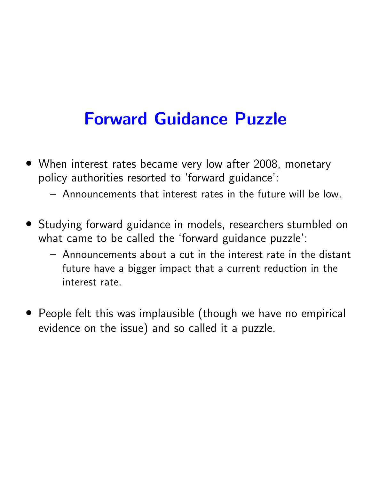## Forward Guidance Puzzle

- *•* When interest rates became very low after 2008, monetary policy authorities resorted to 'forward guidance':
	- Announcements that interest rates in the future will be low.
- *•* Studying forward guidance in models, researchers stumbled on what came to be called the 'forward guidance puzzle':
	- Announcements about a cut in the interest rate in the distant future have a bigger impact that a current reduction in the interest rate.
- *•* People felt this was implausible (though we have no empirical evidence on the issue) and so called it a puzzle.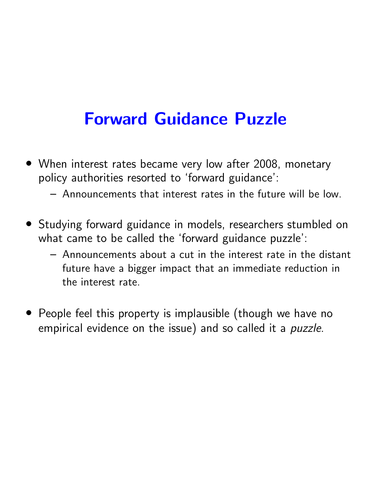## Forward Guidance Puzzle

- *•* When interest rates became very low after 2008, monetary policy authorities resorted to 'forward guidance':
	- Announcements that interest rates in the future will be low.
- *•* Studying forward guidance in models, researchers stumbled on what came to be called the 'forward guidance puzzle':
	- Announcements about a cut in the interest rate in the distant future have a bigger impact that an immediate reduction in the interest rate.
- *•* People feel this property is implausible (though we have no empirical evidence on the issue) and so called it a *puzzle*.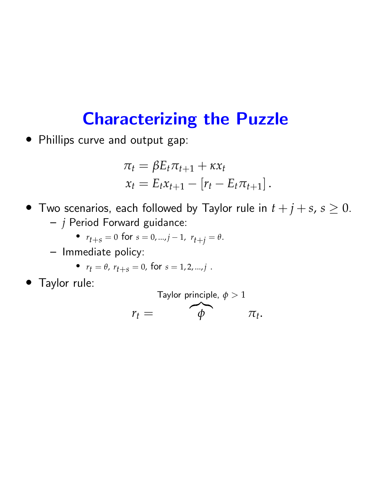#### Characterizing the Puzzle

*•* Phillips curve and output gap:

$$
\pi_t = \beta E_t \pi_{t+1} + \kappa x_t
$$
  

$$
x_t = E_t x_{t+1} - [r_t - E_t \pi_{t+1}].
$$

- Two scenarios, each followed by Taylor rule in  $t + j + s$ ,  $s \ge 0$ . – *j* Period Forward guidance:
	- $r_{t+s} = 0$  for  $s = 0, ..., j-1$ ,  $r_{t+j} = \theta$ .
	- Immediate policy:

• 
$$
r_t = \theta
$$
,  $r_{t+s} = 0$ , for  $s = 1, 2, ..., j$ .

*•* Taylor rule:

Taylor principle,  $\phi > 1$ 

 $r_t =$  $\frac{1}{\phi}$  $\pi_t$ .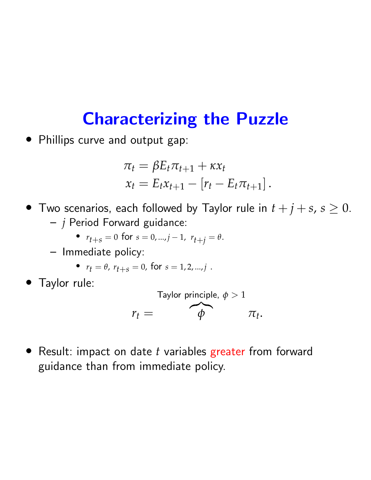#### Characterizing the Puzzle

*•* Phillips curve and output gap:

$$
\pi_t = \beta E_t \pi_{t+1} + \kappa x_t
$$
  

$$
x_t = E_t x_{t+1} - [r_t - E_t \pi_{t+1}].
$$

- Two scenarios, each followed by Taylor rule in  $t + j + s$ ,  $s \geq 0$ . – *j* Period Forward guidance:
	- $r_{t+s} = 0$  for  $s = 0, ..., j-1$ ,  $r_{t+j} = \theta$ .
	- Immediate policy:

• 
$$
r_t = \theta
$$
,  $r_{t+s} = 0$ , for  $s = 1, 2, ..., j$ .

*•* Taylor rule:

Taylor principle, 
$$
\phi > 1
$$

\n
$$
r_t = \phi \quad \pi_t.
$$

*•* Result: impact on date *t* variables greater from forward guidance than from immediate policy.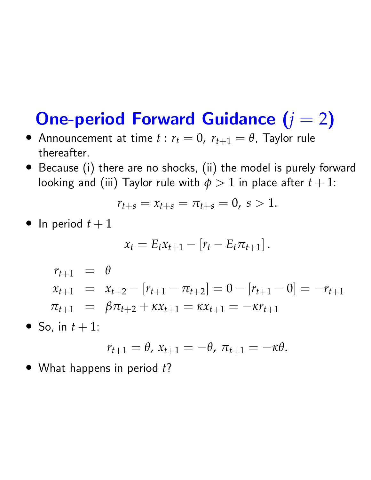## One-period Forward Guidance (*j* = 2)

- Announcement at time  $t : r_t = 0$ ,  $r_{t+1} = \theta$ , Taylor rule thereafter.
- *•* Because (i) there are no shocks, (ii) the model is purely forward looking and (iii) Taylor rule with  $\phi > 1$  in place after  $t + 1$ :

$$
r_{t+s} = x_{t+s} = \pi_{t+s} = 0, \, s > 1.
$$

• In period  $t + 1$ 

$$
x_t = E_t x_{t+1} - [r_t - E_t \pi_{t+1}].
$$

$$
r_{t+1} = \theta
$$
  
\n
$$
x_{t+1} = x_{t+2} - [r_{t+1} - \pi_{t+2}] = 0 - [r_{t+1} - 0] = -r_{t+1}
$$
  
\n
$$
\pi_{t+1} = \beta \pi_{t+2} + \kappa x_{t+1} = \kappa x_{t+1} = -\kappa r_{t+1}
$$

• So, in  $t + 1$ :

$$
r_{t+1}=\theta, x_{t+1}=-\theta, \pi_{t+1}=-\kappa\theta.
$$

*•* What happens in period *t*?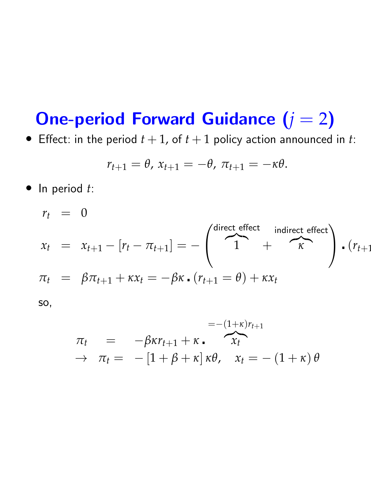## **One-period Forward Guidance (** $j = 2$ **)**

• Effect: in the period  $t + 1$ , of  $t + 1$  policy action announced in  $t$ :

$$
r_{t+1}=\theta, x_{t+1}=-\theta, \pi_{t+1}=-\kappa\theta.
$$

*•* In period *t*:

$$
r_{t} = 0
$$
  
\n
$$
x_{t} = x_{t+1} - [r_{t} - \pi_{t+1}] = -\begin{pmatrix} \text{direct effect} & \text{indirect effect} \\ 1 & + & \kappa \end{pmatrix} \cdot (r_{t+1})
$$
  
\n
$$
\pi_{t} = \beta \pi_{t+1} + \kappa x_{t} = -\beta \kappa \cdot (r_{t+1} = \theta) + \kappa x_{t}
$$
  
\nso,

$$
\pi_t = -\beta \kappa r_{t+1} + \kappa \cdot \overbrace{x_t}^{=- (1+\kappa)r_{t+1}}
$$
  
\n
$$
\rightarrow \pi_t = -[1+\beta+\kappa] \kappa \theta, \quad x_t = -(1+\kappa) \theta
$$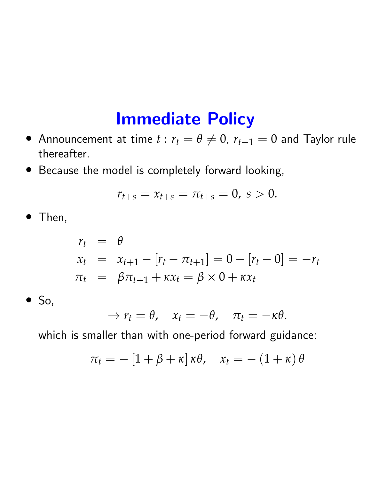#### Immediate Policy

- Announcement at time  $t : r_t = \theta \neq 0$ ,  $r_{t+1} = 0$  and Taylor rule thereafter.
- *•* Because the model is completely forward looking,

$$
r_{t+s} = x_{t+s} = \pi_{t+s} = 0, \, s > 0.
$$

*•* Then,

$$
\begin{array}{rcl}\nr_t & = & \theta \\
x_t & = & x_{t+1} - [r_t - \pi_{t+1}] = 0 - [r_t - 0] = -r_t \\
\pi_t & = & \beta \pi_{t+1} + \kappa x_t = \beta \times 0 + \kappa x_t\n\end{array}
$$

*•* So,

$$
\rightarrow r_t = \theta, \quad x_t = -\theta, \quad \pi_t = -\kappa\theta.
$$

which is smaller than with one-period forward guidance:

$$
\pi_t = -[1+\beta+\kappa] \kappa \theta, \quad x_t = -(1+\kappa) \theta
$$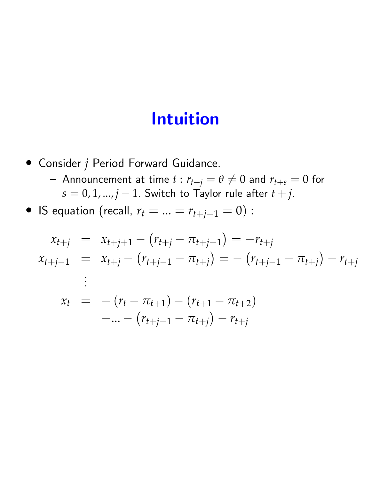#### Intuition

- *•* Consider *j* Period Forward Guidance.
	- Announcement at time  $t : r_{t+j} = \theta \neq 0$  and  $r_{t+s} = 0$  for  $s = 0, 1, ..., j - 1$ . Switch to Taylor rule after  $t + j$ .
- IS equation (recall,  $r_t = ... = r_{t+j-1} = 0)$ :

$$
x_{t+j} = x_{t+j+1} - (r_{t+j} - \pi_{t+j+1}) = -r_{t+j}
$$
  
\n
$$
x_{t+j-1} = x_{t+j} - (r_{t+j-1} - \pi_{t+j}) = -(r_{t+j-1} - \pi_{t+j}) - r_{t+j}
$$
  
\n
$$
\vdots
$$
  
\n
$$
x_t = -(r_t - \pi_{t+1}) - (r_{t+1} - \pi_{t+2})
$$
  
\n
$$
-... - (r_{t+j-1} - \pi_{t+j}) - r_{t+j}
$$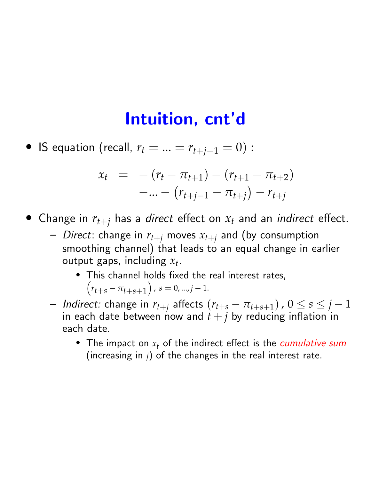#### Intuition, cnt'd

• IS equation (recall,  $r_t = ... = r_{t+j-1} = 0$ ) :

$$
x_t = -(r_t - \pi_{t+1}) - (r_{t+1} - \pi_{t+2})
$$
  
-... -  $(r_{t+j-1} - \pi_{t+j}) - r_{t+j}$ 

• Change in  $r_{t+j}$  has a *direct* effect on  $x_t$  and an *indirect* effect.

- $-$  *Direct*: change in  $r_{t+j}$  moves  $x_{t+j}$  and (by consumption smoothing channel) that leads to an equal change in earlier output gaps, including  $x_t$ .
	- *•* This channel holds fixed the real interest rates,  $(r_{t+s} - \pi_{t+s+1})$ ,  $s = 0, ..., j-1$ .
- $-$  *Indirect:* change in  $r_{t+j}$  affects  $(r_{t+s} \pi_{t+s+1})$ ,  $0 \leq s \leq j-1$ in each date between now and  $t + j$  by reducing inflation in each date.
	- The impact on  $x_t$  of the indirect effect is the *cumulative sum* (increasing in *j*) of the changes in the real interest rate.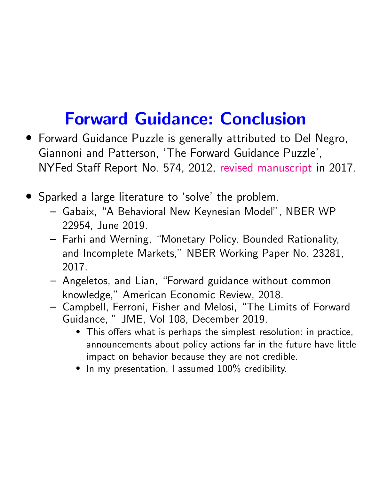# Forward Guidance: Conclusion

- *•* Forward Guidance Puzzle is generally attributed to Del Negro, Giannoni and Patterson, 'The Forward Guidance Puzzle', NYFed Staff Report No. 574, 2012, revised manuscript in 2017.
- *•* Sparked a large literature to 'solve' the problem.
	- Gabaix, "A Behavioral New Keynesian Model", NBER WP 22954, June 2019.
	- Farhi and Werning, "Monetary Policy, Bounded Rationality, and Incomplete Markets," NBER Working Paper No. 23281, 2017.
	- Angeletos, and Lian, "Forward guidance without common knowledge," American Economic Review, 2018.
	- Campbell, Ferroni, Fisher and Melosi, "The Limits of Forward Guidance, " JME, Vol 108, December 2019.
		- This offers what is perhaps the simplest resolution: in practice, announcements about policy actions far in the future have little impact on behavior because they are not credible.
		- *•* In my presentation, I assumed 100% credibility.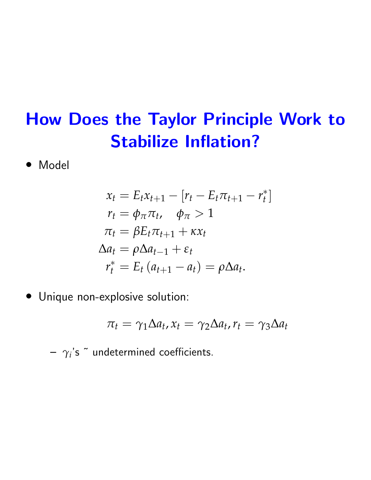# How Does the Taylor Principle Work to Stabilize Inflation?

*•* Model

$$
\begin{aligned}\nx_t &= E_t x_{t+1} - [r_t - E_t \pi_{t+1} - r_t^*] \\
r_t &= \phi_\pi \pi_t, \quad \phi_\pi > 1 \\
\pi_t &= \beta E_t \pi_{t+1} + \kappa x_t \\
\Delta a_t &= \rho \Delta a_{t-1} + \varepsilon_t \\
r_t^* &= E_t (a_{t+1} - a_t) = \rho \Delta a_t.\n\end{aligned}
$$

*•* Unique non-explosive solution:

$$
\pi_t = \gamma_1 \Delta a_t, x_t = \gamma_2 \Delta a_t, r_t = \gamma_3 \Delta a_t
$$

 $\gamma$ <sup>'</sup>s<sup> $\tilde{ }$ </sup> undetermined coefficients.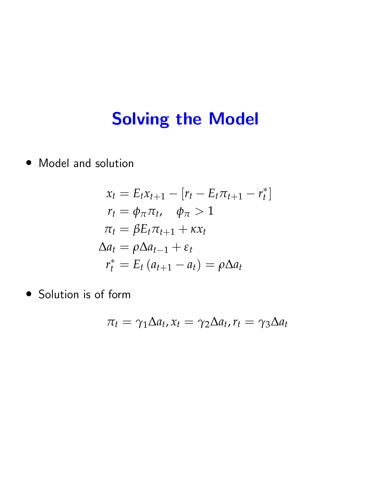*•* Model and solution

$$
x_t = E_t x_{t+1} - [r_t - E_t \pi_{t+1} - r_t^*]
$$
  
\n
$$
r_t = \phi_{\pi} \pi_t, \quad \phi_{\pi} > 1
$$
  
\n
$$
\pi_t = \beta E_t \pi_{t+1} + \kappa x_t
$$
  
\n
$$
\Delta a_t = \rho \Delta a_{t-1} + \varepsilon_t
$$
  
\n
$$
r_t^* = E_t (a_{t+1} - a_t) = \rho \Delta a_t
$$

*•* Solution is of form

$$
\pi_t = \gamma_1 \Delta a_t, x_t = \gamma_2 \Delta a_t, r_t = \gamma_3 \Delta a_t
$$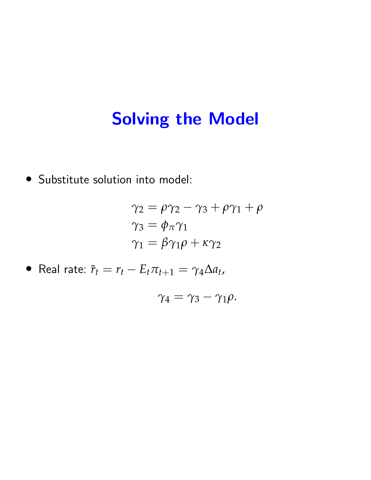*•* Substitute solution into model:

$$
\gamma_2 = \rho \gamma_2 - \gamma_3 + \rho \gamma_1 + \rho
$$
  
\n
$$
\gamma_3 = \phi_\pi \gamma_1
$$
  
\n
$$
\gamma_1 = \beta \gamma_1 \rho + \kappa \gamma_2
$$

• Real rate: 
$$
\tilde{r}_t = r_t - E_t \pi_{t+1} = \gamma_4 \Delta a_t
$$
,

$$
\gamma_4=\gamma_3-\gamma_1\rho.
$$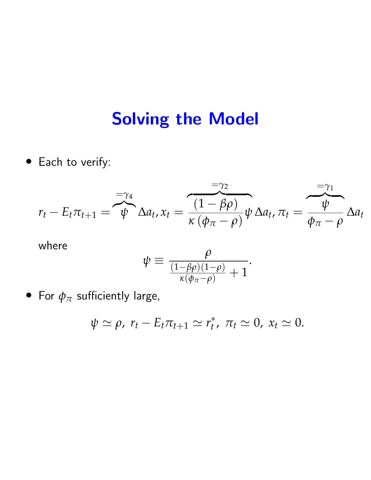*•* Each to verify:

$$
r_{t} - E_{t}\pi_{t+1} = \overbrace{\psi}^{=\gamma_{4}} \Delta a_{t}, x_{t} = \frac{(1-\beta\rho)}{\kappa(\phi_{\pi}-\rho)}\psi \Delta a_{t}, \pi_{t} = \overbrace{\phi_{\pi}-\rho}^{=\gamma_{1}} \Delta a_{t}
$$

where

$$
\psi \equiv \frac{\rho}{\frac{(1-\beta\rho)(1-\rho)}{\kappa(\phi_\pi-\rho)}+1}.
$$

• For  $\phi_{\pi}$  sufficiently large,

$$
\psi \simeq \rho, r_t - E_t \pi_{t+1} \simeq r_t^*, \pi_t \simeq 0, x_t \simeq 0.
$$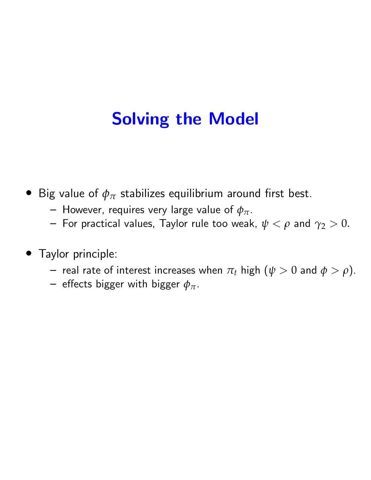- Big value of  $\phi_{\pi}$  stabilizes equilibrium around first best.
	- $-$  However, requires very large value of  $\phi_{\pi}$ .
	- For practical values, Taylor rule too weak,  $\psi < \rho$  and  $\gamma_2 > 0$ .
- *•* Taylor principle:
	- real rate of interest increases when  $\pi_t$  high ( $\psi > 0$  and  $\phi > \rho$ ).
	- effects bigger with bigger  $\phi_{\pi}$ .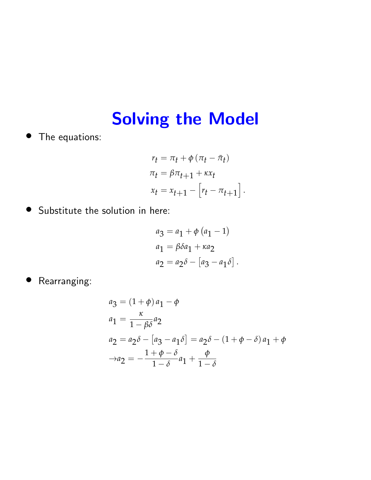*•* The equations:

$$
r_t = \pi_t + \phi (\pi_t - \bar{\pi}_t)
$$
  
\n
$$
\pi_t = \beta \pi_{t+1} + \kappa x_t
$$
  
\n
$$
x_t = x_{t+1} - [r_t - \pi_{t+1}].
$$

*•* Substitute the solution in here:

$$
a_3 = a_1 + \phi (a_1 - 1)
$$
  
\n
$$
a_1 = \beta \delta a_1 + \kappa a_2
$$
  
\n
$$
a_2 = a_2 \delta - [a_3 - a_1 \delta].
$$

*•* Rearranging:

$$
a_3 = (1 + \phi) a_1 - \phi
$$
  
\n
$$
a_1 = \frac{\kappa}{1 - \beta \delta} a_2
$$
  
\n
$$
a_2 = a_2 \delta - [a_3 - a_1 \delta] = a_2 \delta - (1 + \phi - \delta) a_1 + \phi
$$
  
\n
$$
\to a_2 = -\frac{1 + \phi - \delta}{1 - \delta} a_1 + \frac{\phi}{1 - \delta}
$$